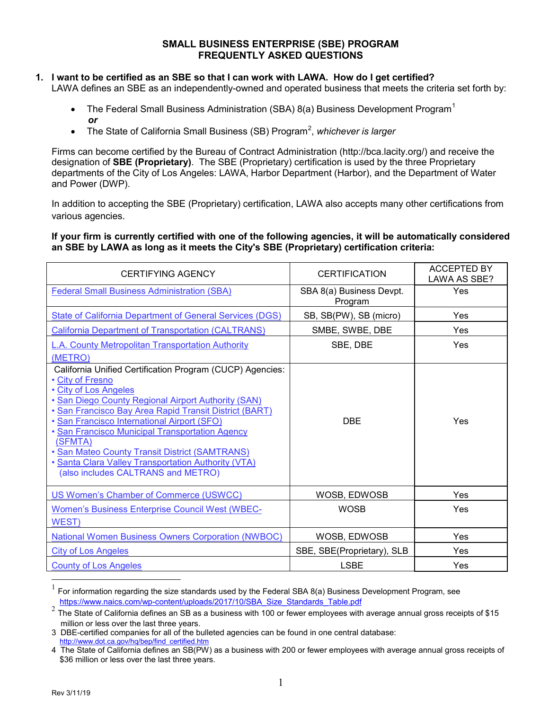### **SMALL BUSINESS ENTERPRISE (SBE) PROGRAM FREQUENTLY ASKED QUESTIONS**

# **1. I want to be certified as an SBE so that I can work with LAWA. How do I get certified?**

LAWA defines an SBE as an independently-owned and operated business that meets the criteria set forth by:

- The Federal Small Business Administration (SBA) 8(a) Business Development Program<sup>[1](#page-0-0)</sup> *or*
- The State of California Small Business (SB) Program<sup>[2](#page-0-1)</sup>, whichever is larger

Firms can become certified by the Bureau of Contract Administration (http://bca.lacity.org/) and receive the designation of **SBE (Proprietary)**. The SBE (Proprietary) certification is used by the three Proprietary departments of the City of Los Angeles: LAWA, Harbor Department (Harbor), and the Department of Water and Power (DWP).

In addition to accepting the SBE (Proprietary) certification, LAWA also accepts many other certifications from various agencies.

#### **If your firm is currently certified with one of the following agencies, it will be automatically considered an SBE by LAWA as long as it meets the City's SBE (Proprietary) certification criteria:**

| CERTIFYING AGENCY                                                                         | <b>CERTIFICATION</b>                | <b>ACCEPTED BY</b><br>LAWA AS SBE? |
|-------------------------------------------------------------------------------------------|-------------------------------------|------------------------------------|
| <b>Federal Small Business Administration (SBA)</b>                                        | SBA 8(a) Business Devpt.<br>Program | Yes                                |
| <b>State of California Department of General Services (DGS)</b>                           | SB, SB(PW), SB (micro)              | Yes                                |
| California Department of Transportation (CALTRANS)                                        | SMBE, SWBE, DBE                     | Yes                                |
| L.A. County Metropolitan Transportation Authority                                         | SBE, DBE                            | Yes                                |
| (METRO)                                                                                   |                                     |                                    |
| California Unified Certification Program (CUCP) Agencies:                                 |                                     |                                    |
| • City of Fresno<br>• City of Los Angeles                                                 |                                     |                                    |
| . San Diego County Regional Airport Authority (SAN)                                       |                                     |                                    |
| • San Francisco Bay Area Rapid Transit District (BART)                                    |                                     |                                    |
| · San Francisco International Airport (SFO)                                               | <b>DBE</b>                          | Yes                                |
| · San Francisco Municipal Transportation Agency                                           |                                     |                                    |
| (SFMTA)                                                                                   |                                     |                                    |
| • San Mateo County Transit District (SAMTRANS)                                            |                                     |                                    |
| . Santa Clara Valley Transportation Authority (VTA)<br>(also includes CALTRANS and METRO) |                                     |                                    |
|                                                                                           |                                     |                                    |
| US Women's Chamber of Commerce (USWCC)                                                    | WOSB, EDWOSB                        | Yes                                |
| <b>Women's Business Enterprise Council West (WBEC-</b>                                    | <b>WOSB</b>                         | Yes                                |
| <b>WEST</b>                                                                               |                                     |                                    |
| <b>National Women Business Owners Corporation (NWBOC)</b>                                 | WOSB, EDWOSB                        | Yes                                |
| <b>City of Los Angeles</b>                                                                | SBE, SBE(Proprietary), SLB          | Yes                                |
| <b>County of Los Angeles</b>                                                              | <b>LSBE</b>                         | Yes                                |

<span id="page-0-0"></span> <sup>1</sup> For information regarding the size standards used by the Federal SBA 8(a) Business Development Program, see [https://www.naics.com/wp-content/uploads/2017/10/SBA\\_Size\\_Standards\\_Table.pdf](https://www.naics.com/wp-content/uploads/2017/10/SBA_Size_Standards_Table.pdf)

<span id="page-0-1"></span><sup>&</sup>lt;sup>2</sup> The State of California defines an SB as a business with 100 or fewer employees with average annual gross receipts of \$15 million or less over the last three years.

<sup>3</sup> DBE-certified companies for all of the bulleted agencies can be found in one central database: [http://www.dot.ca.gov/hq/bep/find\\_certified.htm](http://www.dot.ca.gov/hq/bep/find_certified.htm)

<sup>4</sup> The State of California defines an SB(PW) as a business with 200 or fewer employees with average annual gross receipts of \$36 million or less over the last three years.